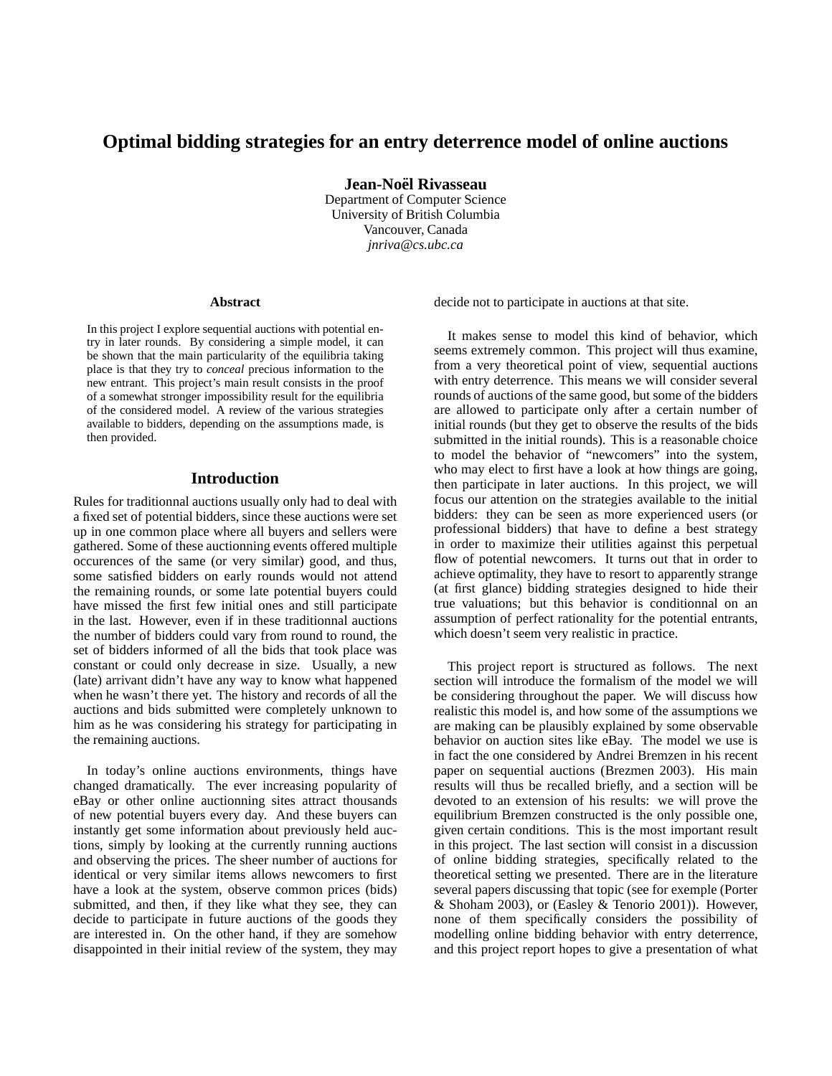# **Optimal bidding strategies for an entry deterrence model of online auctions**

**Jean-Noel¨ Rivasseau** Department of Computer Science University of British Columbia Vancouver, Canada *jnriva@cs.ubc.ca*

#### **Abstract**

In this project I explore sequential auctions with potential entry in later rounds. By considering a simple model, it can be shown that the main particularity of the equilibria taking place is that they try to *conceal* precious information to the new entrant. This project's main result consists in the proof of a somewhat stronger impossibility result for the equilibria of the considered model. A review of the various strategies available to bidders, depending on the assumptions made, is then provided.

## **Introduction**

Rules for traditionnal auctions usually only had to deal with a fixed set of potential bidders, since these auctions were set up in one common place where all buyers and sellers were gathered. Some of these auctionning events offered multiple occurences of the same (or very similar) good, and thus, some satisfied bidders on early rounds would not attend the remaining rounds, or some late potential buyers could have missed the first few initial ones and still participate in the last. However, even if in these traditionnal auctions the number of bidders could vary from round to round, the set of bidders informed of all the bids that took place was constant or could only decrease in size. Usually, a new (late) arrivant didn't have any way to know what happened when he wasn't there yet. The history and records of all the auctions and bids submitted were completely unknown to him as he was considering his strategy for participating in the remaining auctions.

In today's online auctions environments, things have changed dramatically. The ever increasing popularity of eBay or other online auctionning sites attract thousands of new potential buyers every day. And these buyers can instantly get some information about previously held auctions, simply by looking at the currently running auctions and observing the prices. The sheer number of auctions for identical or very similar items allows newcomers to first have a look at the system, observe common prices (bids) submitted, and then, if they like what they see, they can decide to participate in future auctions of the goods they are interested in. On the other hand, if they are somehow disappointed in their initial review of the system, they may

decide not to participate in auctions at that site.

It makes sense to model this kind of behavior, which seems extremely common. This project will thus examine, from a very theoretical point of view, sequential auctions with entry deterrence. This means we will consider several rounds of auctions of the same good, but some of the bidders are allowed to participate only after a certain number of initial rounds (but they get to observe the results of the bids submitted in the initial rounds). This is a reasonable choice to model the behavior of "newcomers" into the system, who may elect to first have a look at how things are going, then participate in later auctions. In this project, we will focus our attention on the strategies available to the initial bidders: they can be seen as more experienced users (or professional bidders) that have to define a best strategy in order to maximize their utilities against this perpetual flow of potential newcomers. It turns out that in order to achieve optimality, they have to resort to apparently strange (at first glance) bidding strategies designed to hide their true valuations; but this behavior is conditionnal on an assumption of perfect rationality for the potential entrants, which doesn't seem very realistic in practice.

This project report is structured as follows. The next section will introduce the formalism of the model we will be considering throughout the paper. We will discuss how realistic this model is, and how some of the assumptions we are making can be plausibly explained by some observable behavior on auction sites like eBay. The model we use is in fact the one considered by Andrei Bremzen in his recent paper on sequential auctions (Brezmen 2003). His main results will thus be recalled briefly, and a section will be devoted to an extension of his results: we will prove the equilibrium Bremzen constructed is the only possible one, given certain conditions. This is the most important result in this project. The last section will consist in a discussion of online bidding strategies, specifically related to the theoretical setting we presented. There are in the literature several papers discussing that topic (see for exemple (Porter & Shoham 2003), or (Easley & Tenorio 2001)). However, none of them specifically considers the possibility of modelling online bidding behavior with entry deterrence, and this project report hopes to give a presentation of what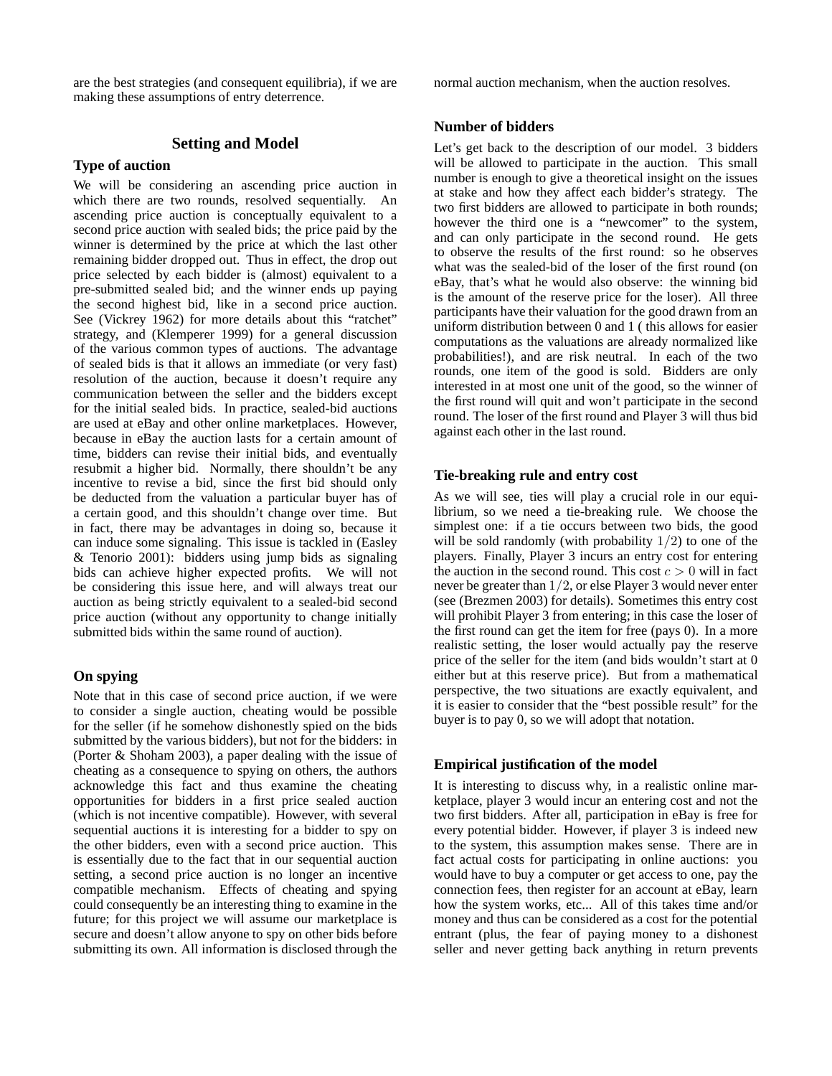are the best strategies (and consequent equilibria), if we are making these assumptions of entry deterrence.

## **Setting and Model**

## **Type of auction**

We will be considering an ascending price auction in which there are two rounds, resolved sequentially. An ascending price auction is conceptually equivalent to a second price auction with sealed bids; the price paid by the winner is determined by the price at which the last other remaining bidder dropped out. Thus in effect, the drop out price selected by each bidder is (almost) equivalent to a pre-submitted sealed bid; and the winner ends up paying the second highest bid, like in a second price auction. See (Vickrey 1962) for more details about this "ratchet" strategy, and (Klemperer 1999) for a general discussion of the various common types of auctions. The advantage of sealed bids is that it allows an immediate (or very fast) resolution of the auction, because it doesn't require any communication between the seller and the bidders except for the initial sealed bids. In practice, sealed-bid auctions are used at eBay and other online marketplaces. However, because in eBay the auction lasts for a certain amount of time, bidders can revise their initial bids, and eventually resubmit a higher bid. Normally, there shouldn't be any incentive to revise a bid, since the first bid should only be deducted from the valuation a particular buyer has of a certain good, and this shouldn't change over time. But in fact, there may be advantages in doing so, because it can induce some signaling. This issue is tackled in (Easley & Tenorio 2001): bidders using jump bids as signaling bids can achieve higher expected profits. We will not be considering this issue here, and will always treat our auction as being strictly equivalent to a sealed-bid second price auction (without any opportunity to change initially submitted bids within the same round of auction).

### **On spying**

Note that in this case of second price auction, if we were to consider a single auction, cheating would be possible for the seller (if he somehow dishonestly spied on the bids submitted by the various bidders), but not for the bidders: in (Porter & Shoham 2003), a paper dealing with the issue of cheating as a consequence to spying on others, the authors acknowledge this fact and thus examine the cheating opportunities for bidders in a first price sealed auction (which is not incentive compatible). However, with several sequential auctions it is interesting for a bidder to spy on the other bidders, even with a second price auction. This is essentially due to the fact that in our sequential auction setting, a second price auction is no longer an incentive compatible mechanism. Effects of cheating and spying could consequently be an interesting thing to examine in the future; for this project we will assume our marketplace is secure and doesn't allow anyone to spy on other bids before submitting its own. All information is disclosed through the normal auction mechanism, when the auction resolves.

#### **Number of bidders**

Let's get back to the description of our model. 3 bidders will be allowed to participate in the auction. This small number is enough to give a theoretical insight on the issues at stake and how they affect each bidder's strategy. The two first bidders are allowed to participate in both rounds; however the third one is a "newcomer" to the system, and can only participate in the second round. He gets to observe the results of the first round: so he observes what was the sealed-bid of the loser of the first round (on eBay, that's what he would also observe: the winning bid is the amount of the reserve price for the loser). All three participants have their valuation for the good drawn from an uniform distribution between 0 and 1 ( this allows for easier computations as the valuations are already normalized like probabilities!), and are risk neutral. In each of the two rounds, one item of the good is sold. Bidders are only interested in at most one unit of the good, so the winner of the first round will quit and won't participate in the second round. The loser of the first round and Player 3 will thus bid against each other in the last round.

#### **Tie-breaking rule and entry cost**

As we will see, ties will play a crucial role in our equilibrium, so we need a tie-breaking rule. We choose the simplest one: if a tie occurs between two bids, the good will be sold randomly (with probability  $1/2$ ) to one of the players. Finally, Player 3 incurs an entry cost for entering the auction in the second round. This cost  $c > 0$  will in fact never be greater than 1/2, or else Player 3 would never enter (see (Brezmen 2003) for details). Sometimes this entry cost will prohibit Player 3 from entering; in this case the loser of the first round can get the item for free (pays 0). In a more realistic setting, the loser would actually pay the reserve price of the seller for the item (and bids wouldn't start at 0 either but at this reserve price). But from a mathematical perspective, the two situations are exactly equivalent, and it is easier to consider that the "best possible result" for the buyer is to pay 0, so we will adopt that notation.

#### **Empirical justification of the model**

It is interesting to discuss why, in a realistic online marketplace, player 3 would incur an entering cost and not the two first bidders. After all, participation in eBay is free for every potential bidder. However, if player 3 is indeed new to the system, this assumption makes sense. There are in fact actual costs for participating in online auctions: you would have to buy a computer or get access to one, pay the connection fees, then register for an account at eBay, learn how the system works, etc... All of this takes time and/or money and thus can be considered as a cost for the potential entrant (plus, the fear of paying money to a dishonest seller and never getting back anything in return prevents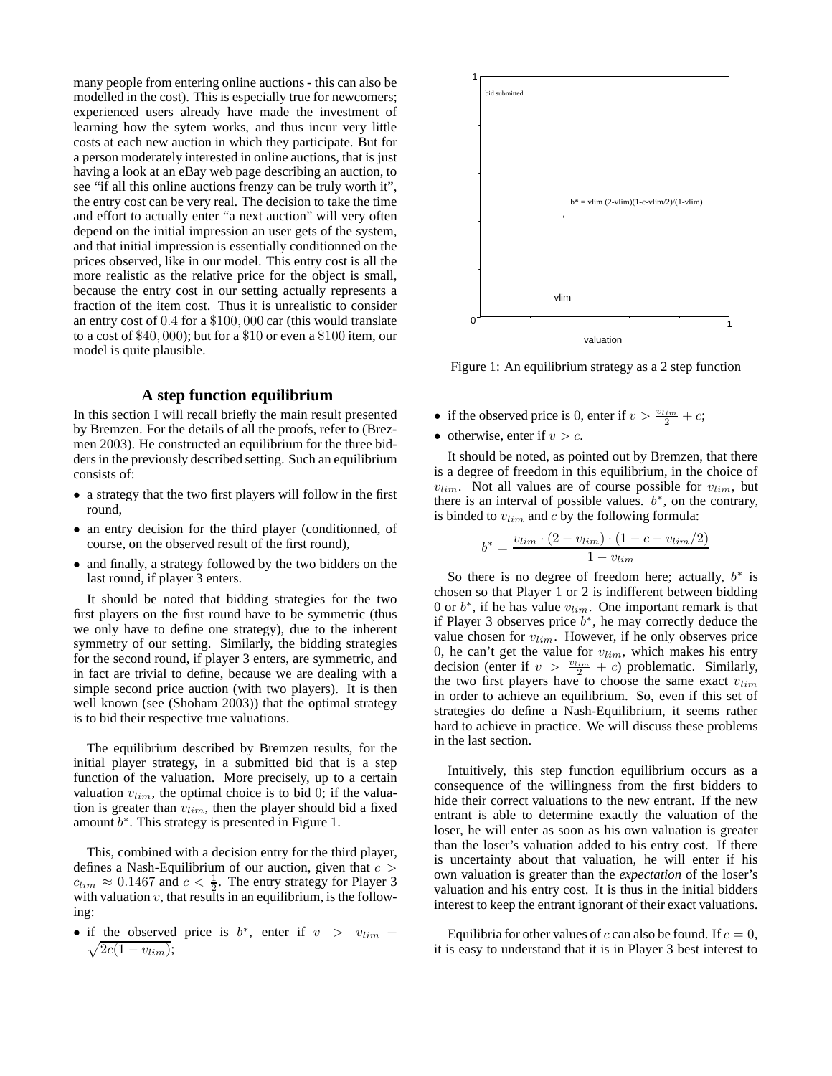many people from entering online auctions - this can also be modelled in the cost). This is especially true for newcomers; experienced users already have made the investment of learning how the sytem works, and thus incur very little costs at each new auction in which they participate. But for a person moderately interested in online auctions, that is just having a look at an eBay web page describing an auction, to see "if all this online auctions frenzy can be truly worth it", the entry cost can be very real. The decision to take the time and effort to actually enter "a next auction" will very often depend on the initial impression an user gets of the system, and that initial impression is essentially conditionned on the prices observed, like in our model. This entry cost is all the more realistic as the relative price for the object is small, because the entry cost in our setting actually represents a fraction of the item cost. Thus it is unrealistic to consider an entry cost of 0.4 for a \$100, 000 car (this would translate to a cost of \$40, 000); but for a \$10 or even a \$100 item, our model is quite plausible.

#### **A step function equilibrium**

In this section I will recall briefly the main result presented by Bremzen. For the details of all the proofs, refer to (Brezmen 2003). He constructed an equilibrium for the three bidders in the previously described setting. Such an equilibrium consists of:

- a strategy that the two first players will follow in the first round,
- an entry decision for the third player (conditionned, of course, on the observed result of the first round),
- and finally, a strategy followed by the two bidders on the last round, if player 3 enters.

It should be noted that bidding strategies for the two first players on the first round have to be symmetric (thus we only have to define one strategy), due to the inherent symmetry of our setting. Similarly, the bidding strategies for the second round, if player 3 enters, are symmetric, and in fact are trivial to define, because we are dealing with a simple second price auction (with two players). It is then well known (see (Shoham 2003)) that the optimal strategy is to bid their respective true valuations.

The equilibrium described by Bremzen results, for the initial player strategy, in a submitted bid that is a step function of the valuation. More precisely, up to a certain valuation  $v_{lim}$ , the optimal choice is to bid 0; if the valuation is greater than  $v_{lim}$ , then the player should bid a fixed amount  $b^*$ . This strategy is presented in Figure 1.

This, combined with a decision entry for the third player, defines a Nash-Equilibrium of our auction, given that  $c >$  $c_{lim} \approx 0.1467$  and  $c < \frac{1}{2}$ . The entry strategy for Player 3 with valuation  $v$ , that results in an equilibrium, is the following:

• if the observed price is  $b^*$ , enter if  $v > v_{lim} + \sqrt{2c(1 - v_{lim})}$ ;  $\sqrt{2c(1-v_{lim})};$ 



Figure 1: An equilibrium strategy as a 2 step function

- if the observed price is 0, enter if  $v > \frac{v_{lim}}{2} + c$ ;
- otherwise, enter if  $v > c$ .

It should be noted, as pointed out by Bremzen, that there is a degree of freedom in this equilibrium, in the choice of  $v_{lim}$ . Not all values are of course possible for  $v_{lim}$ , but there is an interval of possible values.  $b^*$ , on the contrary, is binded to  $v_{lim}$  and c by the following formula:

$$
b^* = \frac{v_{lim} \cdot (2 - v_{lim}) \cdot (1 - c - v_{lim}/2)}{1 - v_{lim}}
$$

So there is no degree of freedom here; actually,  $b^*$  is chosen so that Player 1 or 2 is indifferent between bidding 0 or  $b^*$ , if he has value  $v_{lim}$ . One important remark is that if Player 3 observes price  $b^*$ , he may correctly deduce the value chosen for  $v_{lim}$ . However, if he only observes price 0, he can't get the value for  $v_{lim}$ , which makes his entry decision (enter if  $v > \frac{v_{lim}}{2} + c$ ) problematic. Similarly, the two first players have to choose the same exact  $v_{lim}$ in order to achieve an equilibrium. So, even if this set of strategies do define a Nash-Equilibrium, it seems rather hard to achieve in practice. We will discuss these problems in the last section.

Intuitively, this step function equilibrium occurs as a consequence of the willingness from the first bidders to hide their correct valuations to the new entrant. If the new entrant is able to determine exactly the valuation of the loser, he will enter as soon as his own valuation is greater than the loser's valuation added to his entry cost. If there is uncertainty about that valuation, he will enter if his own valuation is greater than the *expectation* of the loser's valuation and his entry cost. It is thus in the initial bidders interest to keep the entrant ignorant of their exact valuations.

Equilibria for other values of c can also be found. If  $c = 0$ , it is easy to understand that it is in Player 3 best interest to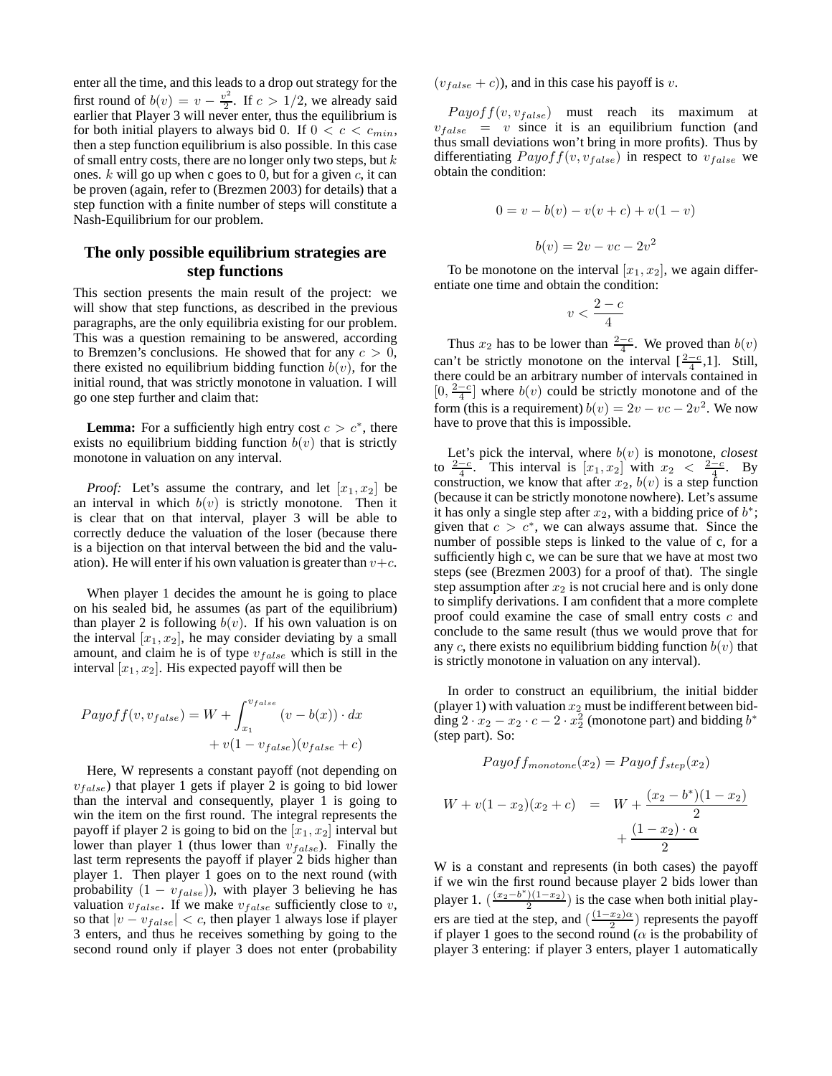enter all the time, and this leads to a drop out strategy for the first round of  $b(v) = v - \frac{v^2}{2}$  $\frac{b^2}{2}$ . If  $c > 1/2$ , we already said earlier that Player 3 will never enter, thus the equilibrium is for both initial players to always bid 0. If  $0 < c < c_{min}$ , then a step function equilibrium is also possible. In this case of small entry costs, there are no longer only two steps, but  $k$ ones.  $k$  will go up when c goes to 0, but for a given  $c$ , it can be proven (again, refer to (Brezmen 2003) for details) that a step function with a finite number of steps will constitute a Nash-Equilibrium for our problem.

## **The only possible equilibrium strategies are step functions**

This section presents the main result of the project: we will show that step functions, as described in the previous paragraphs, are the only equilibria existing for our problem. This was a question remaining to be answered, according to Bremzen's conclusions. He showed that for any  $c > 0$ , there existed no equilibrium bidding function  $b(v)$ , for the initial round, that was strictly monotone in valuation. I will go one step further and claim that:

**Lemma:** For a sufficiently high entry cost  $c > c^*$ , there exists no equilibrium bidding function  $b(v)$  that is strictly monotone in valuation on any interval.

*Proof:* Let's assume the contrary, and let  $[x_1, x_2]$  be an interval in which  $b(v)$  is strictly monotone. Then it is clear that on that interval, player 3 will be able to correctly deduce the valuation of the loser (because there is a bijection on that interval between the bid and the valuation). He will enter if his own valuation is greater than  $v+c$ .

When player 1 decides the amount he is going to place on his sealed bid, he assumes (as part of the equilibrium) than player 2 is following  $b(v)$ . If his own valuation is on the interval  $[x_1, x_2]$ , he may consider deviating by a small amount, and claim he is of type  $v_{false}$  which is still in the interval  $[x_1, x_2]$ . His expected payoff will then be

$$
Payoff(v, v_{false}) = W + \int_{x_1}^{v_{false}} (v - b(x)) \cdot dx
$$

$$
+ v(1 - v_{false})(v_{false} + c)
$$

Here, W represents a constant payoff (not depending on  $v_{false}$ ) that player 1 gets if player 2 is going to bid lower than the interval and consequently, player 1 is going to win the item on the first round. The integral represents the payoff if player 2 is going to bid on the  $[x_1, x_2]$  interval but lower than player 1 (thus lower than  $v_{false}$ ). Finally the last term represents the payoff if player 2 bids higher than player 1. Then player 1 goes on to the next round (with probability  $(1 - v_{false})$ ), with player 3 believing he has valuation  $v_{false}$ . If we make  $v_{false}$  sufficiently close to v, so that  $|v - v_{false}| < c$ , then player 1 always lose if player 3 enters, and thus he receives something by going to the second round only if player 3 does not enter (probability  $(v<sub>false</sub> + c)$ ), and in this case his payoff is v.

 $Payoff(v, v_{false})$  must reach its maximum at  $v_{false} = v$  since it is an equilibrium function (and thus small deviations won't bring in more profits). Thus by differentiating  $Payoff(v, v_{false})$  in respect to  $v_{false}$  we obtain the condition:

$$
0 = v - b(v) - v(v + c) + v(1 - v)
$$

$$
b(v) = 2v - vc - 2v2
$$

To be monotone on the interval  $[x_1, x_2]$ , we again differentiate one time and obtain the condition:

$$
v < \frac{2-c}{4}
$$

Thus  $x_2$  has to be lower than  $\frac{2-c}{4}$ . We proved than  $b(v)$ can't be strictly monotone on the interval  $\left[\frac{2-c}{4}, 1\right]$ . Still, there could be an arbitrary number of intervals contained in  $[0, \frac{2-c}{4}]$  where  $b(v)$  could be strictly monotone and of the form (this is a requirement)  $b(v) = 2v - vc - 2v^2$ . We now have to prove that this is impossible.

Let's pick the interval, where  $b(v)$  is monotone, *closest* to  $\frac{2-c}{4}$ . This interval is  $[x_1, x_2]$  with  $x_2 < \frac{2-c}{4}$ . By construction, we know that after  $x_2$ ,  $b(v)$  is a step function (because it can be strictly monotone nowhere). Let's assume it has only a single step after  $x_2$ , with a bidding price of  $b^*$ ; given that  $c > c^*$ , we can always assume that. Since the number of possible steps is linked to the value of c, for a sufficiently high c, we can be sure that we have at most two steps (see (Brezmen 2003) for a proof of that). The single step assumption after  $x_2$  is not crucial here and is only done to simplify derivations. I am confident that a more complete proof could examine the case of small entry costs c and conclude to the same result (thus we would prove that for any c, there exists no equilibrium bidding function  $b(v)$  that is strictly monotone in valuation on any interval).

In order to construct an equilibrium, the initial bidder (player 1) with valuation  $x_2$  must be indifferent between bidding  $2 \cdot x_2 - x_2 \cdot c - 2 \cdot x_2^2$  (monotone part) and bidding  $b^*$ (step part). So:

$$
Payoffmonotone(x_2) = Payoff_{step}(x_2)
$$
  

$$
W + v(1 - x_2)(x_2 + c) = W + \frac{(x_2 - b^*)(1 - x_2)}{2} + \frac{(1 - x_2) \cdot \alpha}{2}
$$

W is a constant and represents (in both cases) the payoff if we win the first round because player 2 bids lower than player 1.  $\left(\frac{(x_2-b^*)(1-x_2)}{2}\right)$  $\frac{1}{2}$ ) is the case when both initial players are tied at the step, and  $\left(\frac{(1-x_2)\alpha}{2}\right)$  $\frac{x_2}{2}$ ) represents the payoff if player 1 goes to the second round ( $\alpha$  is the probability of player 3 entering: if player 3 enters, player 1 automatically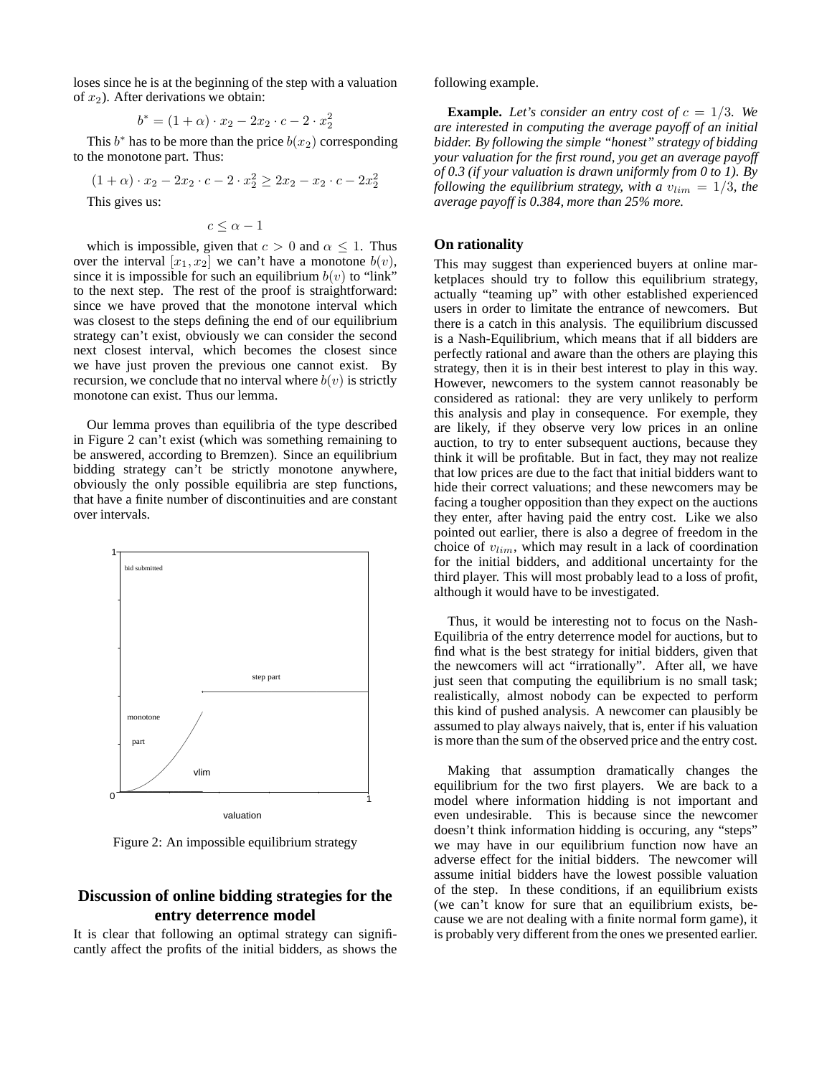loses since he is at the beginning of the step with a valuation of  $x_2$ ). After derivations we obtain:

$$
b^* = (1 + \alpha) \cdot x_2 - 2x_2 \cdot c - 2 \cdot x_2^2
$$

This  $b^*$  has to be more than the price  $b(x_2)$  corresponding to the monotone part. Thus:

$$
(1+\alpha) \cdot x_2 - 2x_2 \cdot c - 2 \cdot x_2^2 \ge 2x_2 - x_2 \cdot c - 2x_2^2
$$

This gives us:

$$
c\leq \alpha-1
$$

which is impossible, given that  $c > 0$  and  $\alpha \leq 1$ . Thus over the interval  $[x_1, x_2]$  we can't have a monotone  $b(v)$ , since it is impossible for such an equilibrium  $b(v)$  to "link" to the next step. The rest of the proof is straightforward: since we have proved that the monotone interval which was closest to the steps defining the end of our equilibrium strategy can't exist, obviously we can consider the second next closest interval, which becomes the closest since we have just proven the previous one cannot exist. By recursion, we conclude that no interval where  $b(v)$  is strictly monotone can exist. Thus our lemma.

Our lemma proves than equilibria of the type described in Figure 2 can't exist (which was something remaining to be answered, according to Bremzen). Since an equilibrium bidding strategy can't be strictly monotone anywhere, obviously the only possible equilibria are step functions, that have a finite number of discontinuities and are constant over intervals.



Figure 2: An impossible equilibrium strategy

# **Discussion of online bidding strategies for the entry deterrence model**

It is clear that following an optimal strategy can significantly affect the profits of the initial bidders, as shows the following example.

**Example.** Let's consider an entry cost of  $c = 1/3$ . We *are interested in computing the average payoff of an initial bidder. By following the simple "honest" strategy of bidding your valuation for the first round, you get an average payoff of 0.3 (if your valuation is drawn uniformly from 0 to 1). By following the equilibrium strategy, with a*  $v_{lim} = 1/3$ *, the average payoff is 0.384, more than 25% more.*

### **On rationality**

This may suggest than experienced buyers at online marketplaces should try to follow this equilibrium strategy, actually "teaming up" with other established experienced users in order to limitate the entrance of newcomers. But there is a catch in this analysis. The equilibrium discussed is a Nash-Equilibrium, which means that if all bidders are perfectly rational and aware than the others are playing this strategy, then it is in their best interest to play in this way. However, newcomers to the system cannot reasonably be considered as rational: they are very unlikely to perform this analysis and play in consequence. For exemple, they are likely, if they observe very low prices in an online auction, to try to enter subsequent auctions, because they think it will be profitable. But in fact, they may not realize that low prices are due to the fact that initial bidders want to hide their correct valuations; and these newcomers may be facing a tougher opposition than they expect on the auctions they enter, after having paid the entry cost. Like we also pointed out earlier, there is also a degree of freedom in the choice of  $v_{lim}$ , which may result in a lack of coordination for the initial bidders, and additional uncertainty for the third player. This will most probably lead to a loss of profit, although it would have to be investigated.

Thus, it would be interesting not to focus on the Nash-Equilibria of the entry deterrence model for auctions, but to find what is the best strategy for initial bidders, given that the newcomers will act "irrationally". After all, we have just seen that computing the equilibrium is no small task; realistically, almost nobody can be expected to perform this kind of pushed analysis. A newcomer can plausibly be assumed to play always naively, that is, enter if his valuation is more than the sum of the observed price and the entry cost.

Making that assumption dramatically changes the equilibrium for the two first players. We are back to a model where information hidding is not important and even undesirable. This is because since the newcomer doesn't think information hidding is occuring, any "steps" we may have in our equilibrium function now have an adverse effect for the initial bidders. The newcomer will assume initial bidders have the lowest possible valuation of the step. In these conditions, if an equilibrium exists (we can't know for sure that an equilibrium exists, because we are not dealing with a finite normal form game), it is probably very different from the ones we presented earlier.